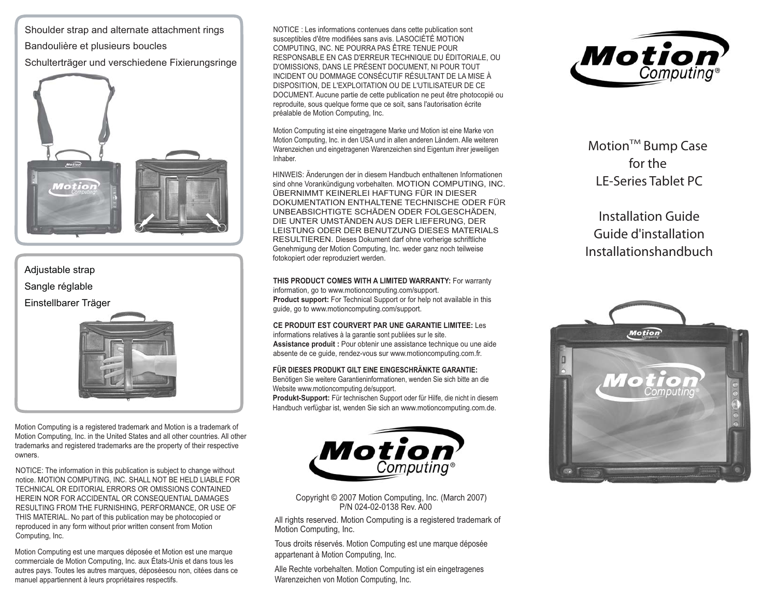Shoulder strap and alternate attachment rings

Bandoulière et plusieurs boucles

Schulterträger und verschiedene Fixierungsringe



## Adjustable strap Sangle réglable Einstellbarer Träger



Motion Computing is a registered trademark and Motion is a trademark of Motion Computing, Inc. in the United States and all other countries. All other trademarks and registered trademarks are the property of their respective owners.

NOTICE: The information in this publication is subject to change without notice. MOTION COMPUTING, INC. SHALL NOT BE HELD LIABLE FOR TECHNICAL OR EDITORIAL ERRORS OR OMISSIONS CONTAINED HEREIN NOR FOR ACCIDENTAL OR CONSEQUENTIAL DAMAGES RESULTING FROM THE FURNISHING, PERFORMANCE, OR USE OF THIS MATERIAL. No part of this publication may be photocopied or reproduced in any form without prior written consent from Motion Computing, Inc.

Motion Computing est une marques déposée et Motion est une marque commerciale de Motion Computing, Inc. aux États-Unis et dans tous les autres pays. Toutes les autres marques, déposéesou non, citées dans ce manuel appartiennent à leurs propriétaires respectifs.

NOTICE : Les informations contenues dans cette publication sont susceptibles d'être modifiées sans avis. LASOCIÉTÉ MOTION COMPUTING, INC. NE POURRA PAS ÊTRE TENUE POUR RESPONSABLE EN CAS D'ERREUR TECHNIQUE DU ÉDITORIALE, OU D'OMISSIONS, DANS LE PRÉSENT DOCUMENT, NI POUR TOUT INCIDENT OU DOMMAGE CONSÉCUTIF RÉSULTANT DE LA MISE À DISPOSITION, DE L'EXPLOITATION OU DE L'UTILISATEUR DE CE DOCUMENT. Aucune partie de cette publication ne peut être photocopié ou reproduite, sous quelque forme que ce soit, sans l'autorisation écrite préalable de Motion Computing, Inc.

Motion Computing ist eine eingetragene Marke und Motion ist eine Marke von Motion Computing, Inc. in den USA und in allen anderen Ländern. Alle weiteren Warenzeichen und eingetragenen Warenzeichen sind Eigentum ihrer jeweiligen Inhaber.

HINWEIS: Änderungen der in diesem Handbuch enthaltenen Informationen sind ohne Vorankündigung vorbehalten. MOTION COMPUTING, INC. ÜBERNIMMT KEINERLEI HAFTUNG FÜR IN DIESER DOKUMENTATION ENTHALTENE TECHNISCHE ODER FÜR UNBEABSICHTIGTE SCHÄDEN ODER FOLGESCHÄDEN, DIE UNTER UMSTÄNDEN AUS DER LIEFERUNG, DER LEISTUNG ODER DER BENUTZUNG DIESES MATERIALS RESULTIEREN. Dieses Dokument darf ohne vorherige schriftliche Genehmigung der Motion Computing, Inc. weder ganz noch teilweise fotokopiert oder reproduziert werden.

## **THIS PRODUCT COMES WITH A LIMITED WARRANTY:** For warranty

information, go to www.motioncomputing.com/support. **Product support:** For Technical Support or for help not available in this guide, go to www.motioncomputing.com/support.

## **CE PRODUIT EST COURVERT PAR UNE GARANTIE LIMITEE:** Les

informations relatives à la garantie sont publiées sur le site. **Assistance produit :** Pour obtenir une assistance technique ou une aide absente de ce guide, rendez-vous sur www.motioncomputing.com.fr.

## **FÜR DIESES PRODUKT GILT EINE EINGESCHRÄNKTE GARANTIE:**

Benötigen Sie weitere Garantieninformationen, wenden Sie sich bitte an die Website www.motioncomputing.de/support.

**Produkt-Support:** Für technischen Support oder für Hilfe, die nicht in diesem Handbuch verfügbar ist, wenden Sie sich an www.motioncomputing.com.de.



Copyright © 2007 Motion Computing, Inc. (March 2007) P/N 024-02-0138 Rev. A00

All rights reserved. Motion Computing is a registered trademark of Motion Computing, Inc.

Tous droits réservés. Motion Computing est une marque déposée appartenant à Motion Computing, Inc.

Alle Rechte vorbehalten. Motion Computing ist ein eingetragenes Warenzeichen von Motion Computing, Inc.



**MotionTM Bump Case for the LE-Series Tablet PC**

**Installation GuideGuide d'installationInstallationshandbuch**